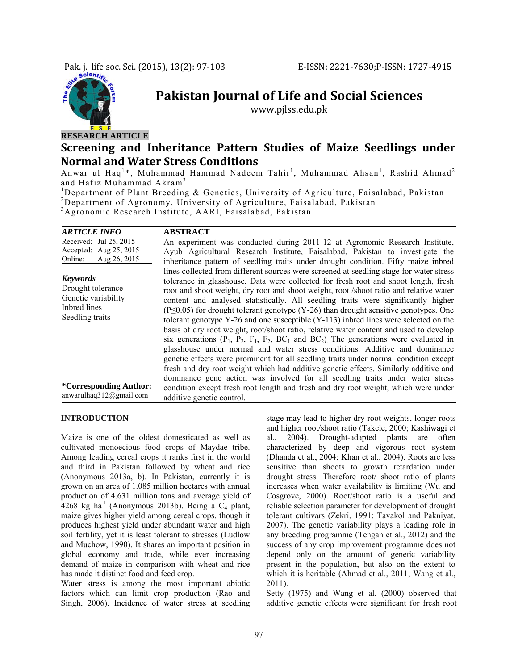

# **Pakistan Journal of Life and Social Sciences**

www.pjlss.edu.pk

# **Screening and Inheritance Pattern Studies of Maize Seedlings under Normal and Water Stress Conditions**

Anwar ul Haq<sup>1</sup>\*, Muhammad Hammad Nadeem Tahir<sup>1</sup>, Muhammad Ahsan<sup>1</sup>, Rashid Ahmad<sup>2</sup> and Hafiz Muhammad Akram<sup>3</sup>

<sup>1</sup>Department of Plant Breeding & Genetics, University of Agriculture, Faisalabad, Pakistan 2 Department of Agronomy, University of Agriculture, Faisalabad, Pakistan

3 Agronomic Research Institute, AARI, Faisalabad, Pakistan

| <b>ARTICLE INFO</b>                                                                            | <b>ABSTRACT</b>                                                                                                                                                                                                                                                                                                                                                                                                                                                                                                                                                                                                                                                                                                                                                                                                                                                                                                                                                                                                                 |
|------------------------------------------------------------------------------------------------|---------------------------------------------------------------------------------------------------------------------------------------------------------------------------------------------------------------------------------------------------------------------------------------------------------------------------------------------------------------------------------------------------------------------------------------------------------------------------------------------------------------------------------------------------------------------------------------------------------------------------------------------------------------------------------------------------------------------------------------------------------------------------------------------------------------------------------------------------------------------------------------------------------------------------------------------------------------------------------------------------------------------------------|
| Received: Jul 25, 2015<br>Accepted: Aug 25, 2015<br>Aug 26, 2015<br>Online:                    | An experiment was conducted during 2011-12 at Agronomic Research Institute,<br>Ayub Agricultural Research Institute, Faisalabad, Pakistan to investigate the<br>inheritance pattern of seedling traits under drought condition. Fifty maize inbred                                                                                                                                                                                                                                                                                                                                                                                                                                                                                                                                                                                                                                                                                                                                                                              |
| <b>Keywords</b><br>Drought tolerance<br>Genetic variability<br>Inbred lines<br>Seedling traits | lines collected from different sources were screened at seedling stage for water stress<br>tolerance in glasshouse. Data were collected for fresh root and shoot length, fresh<br>root and shoot weight, dry root and shoot weight, root /shoot ratio and relative water<br>content and analysed statistically. All seedling traits were significantly higher<br>$(P \le 0.05)$ for drought tolerant genotype $(Y - 26)$ than drought sensitive genotypes. One<br>tolerant genotype $Y-26$ and one susceptible $(Y-113)$ inbred lines were selected on the<br>basis of dry root weight, root/shoot ratio, relative water content and used to develop<br>six generations ( $P_1$ , $P_2$ , $F_1$ , $F_2$ , $BC_1$ and $BC_2$ ). The generations were evaluated in<br>glasshouse under normal and water stress conditions. Additive and dominance<br>genetic effects were prominent for all seedling traits under normal condition except<br>fresh and dry root weight which had additive genetic effects. Similarly additive and |
| <i>*</i> Corresponding Author:<br>anwarulhaq312@gmail.com                                      | dominance gene action was involved for all seedling traits under water stress<br>condition except fresh root length and fresh and dry root weight, which were under<br>additive genetic control.                                                                                                                                                                                                                                                                                                                                                                                                                                                                                                                                                                                                                                                                                                                                                                                                                                |

# **INTRODUCTION**

Maize is one of the oldest domesticated as well as cultivated monoecious food crops of Maydae tribe. Among leading cereal crops it ranks first in the world and third in Pakistan followed by wheat and rice (Anonymous 2013a, b). In Pakistan, currently it is grown on an area of 1.085 million hectares with annual production of 4.631 million tons and average yield of 4268 kg ha<sup>-1</sup> (Anonymous 2013b). Being a  $C_4$  plant, maize gives higher yield among cereal crops, though it produces highest yield under abundant water and high soil fertility, yet it is least tolerant to stresses (Ludlow and Muchow, 1990). It shares an important position in global economy and trade, while ever increasing demand of maize in comparison with wheat and rice has made it distinct food and feed crop.

Water stress is among the most important abiotic factors which can limit crop production (Rao and Singh, 2006). Incidence of water stress at seedling stage may lead to higher dry root weights, longer roots and higher root/shoot ratio (Takele, 2000; Kashiwagi et al., 2004). Drought-adapted plants are often characterized by deep and vigorous root system (Dhanda et al., 2004; Khan et al., 2004). Roots are less sensitive than shoots to growth retardation under drought stress. Therefore root/ shoot ratio of plants increases when water availability is limiting (Wu and Cosgrove, 2000). Root/shoot ratio is a useful and reliable selection parameter for development of drought tolerant cultivars (Zekri, 1991; Tavakol and Pakniyat, 2007). The genetic variability plays a leading role in any breeding programme (Tengan et al., 2012) and the success of any crop improvement programme does not depend only on the amount of genetic variability present in the population, but also on the extent to which it is heritable (Ahmad et al., 2011; Wang et al., 2011).

Setty (1975) and Wang et al. (2000) observed that additive genetic effects were significant for fresh root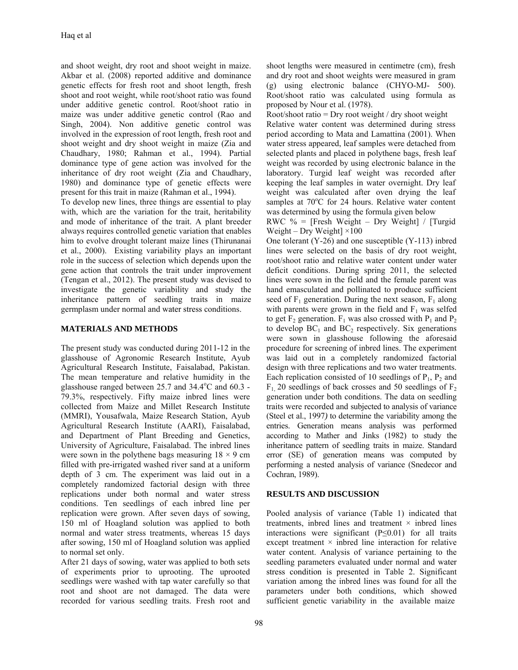and shoot weight, dry root and shoot weight in maize. Akbar et al. (2008) reported additive and dominance genetic effects for fresh root and shoot length, fresh shoot and root weight, while root/shoot ratio was found under additive genetic control. Root/shoot ratio in maize was under additive genetic control (Rao and Singh, 2004). Non additive genetic control was involved in the expression of root length, fresh root and shoot weight and dry shoot weight in maize (Zia and Chaudhary, 1980; Rahman et al., 1994). Partial dominance type of gene action was involved for the inheritance of dry root weight (Zia and Chaudhary, 1980) and dominance type of genetic effects were present for this trait in maize (Rahman et al., 1994).

To develop new lines, three things are essential to play with, which are the variation for the trait, heritability and mode of inheritance of the trait. A plant breeder always requires controlled genetic variation that enables him to evolve drought tolerant maize lines (Thirunanai et al., 2000). Existing variability plays an important role in the success of selection which depends upon the gene action that controls the trait under improvement (Tengan et al., 2012). The present study was devised to investigate the genetic variability and study the inheritance pattern of seedling traits in maize germplasm under normal and water stress conditions.

# **MATERIALS AND METHODS**

The present study was conducted during 2011-12 in the glasshouse of Agronomic Research Institute, Ayub Agricultural Research Institute, Faisalabad, Pakistan. The mean temperature and relative humidity in the glasshouse ranged between 25.7 and 34.4°C and 60.3 -79.3%, respectively. Fifty maize inbred lines were collected from Maize and Millet Research Institute (MMRI), Yousafwala, Maize Research Station, Ayub Agricultural Research Institute (AARI), Faisalabad, and Department of Plant Breeding and Genetics, University of Agriculture, Faisalabad. The inbred lines were sown in the polythene bags measuring  $18 \times 9$  cm filled with pre-irrigated washed river sand at a uniform depth of 3 cm. The experiment was laid out in a completely randomized factorial design with three replications under both normal and water stress conditions. Ten seedlings of each inbred line per replication were grown. After seven days of sowing, 150 ml of Hoagland solution was applied to both normal and water stress treatments, whereas 15 days after sowing, 150 ml of Hoagland solution was applied to normal set only.

After 21 days of sowing, water was applied to both sets of experiments prior to uprooting. The uprooted seedlings were washed with tap water carefully so that root and shoot are not damaged. The data were recorded for various seedling traits. Fresh root and shoot lengths were measured in centimetre (cm), fresh and dry root and shoot weights were measured in gram (g) using electronic balance (CHYO-MJ- 500). Root/shoot ratio was calculated using formula as proposed by Nour et al. (1978).

Root/shoot ratio = Dry root weight / dry shoot weight

Relative water content was determined during stress period according to Mata and Lamattina (2001). When water stress appeared, leaf samples were detached from selected plants and placed in polythene bags, fresh leaf weight was recorded by using electronic balance in the laboratory. Turgid leaf weight was recorded after keeping the leaf samples in water overnight. Dry leaf weight was calculated after oven drying the leaf samples at 70°C for 24 hours. Relative water content was determined by using the formula given below

RWC  $\%$  = [Fresh Weight – Dry Weight] / [Turgid] Weight – Dry Weight $\vert \times 100$ 

One tolerant (Y-26) and one susceptible (Y-113) inbred lines were selected on the basis of dry root weight, root/shoot ratio and relative water content under water deficit conditions. During spring 2011, the selected lines were sown in the field and the female parent was hand emasculated and pollinated to produce sufficient seed of  $F_1$  generation. During the next season,  $F_1$  along with parents were grown in the field and  $F_1$  was selfed to get  $F_2$  generation.  $F_1$  was also crossed with  $P_1$  and  $P_2$ to develop  $BC_1$  and  $BC_2$  respectively. Six generations were sown in glasshouse following the aforesaid procedure for screening of inbred lines. The experiment was laid out in a completely randomized factorial design with three replications and two water treatments. Each replication consisted of 10 seedlings of  $P_1$ ,  $P_2$  and  $F_1$ , 20 seedlings of back crosses and 50 seedlings of  $F_2$ generation under both conditions. The data on seedling traits were recorded and subjected to analysis of variance (Steel et al., 1997*)* to determine the variability among the entries. Generation means analysis was performed according to Mather and Jinks (1982) to study the inheritance pattern of seedling traits in maize. Standard error (SE) of generation means was computed by performing a nested analysis of variance (Snedecor and Cochran, 1989).

# **RESULTS AND DISCUSSION**

Pooled analysis of variance (Table 1) indicated that treatments, indred lines and treatment  $\times$  indred lines interactions were significant (P≤0.01) for all traits except treatment  $\times$  inbred line interaction for relative water content. Analysis of variance pertaining to the seedling parameters evaluated under normal and water stress condition is presented in Table 2. Significant variation among the inbred lines was found for all the parameters under both conditions, which showed sufficient genetic variability in the available maize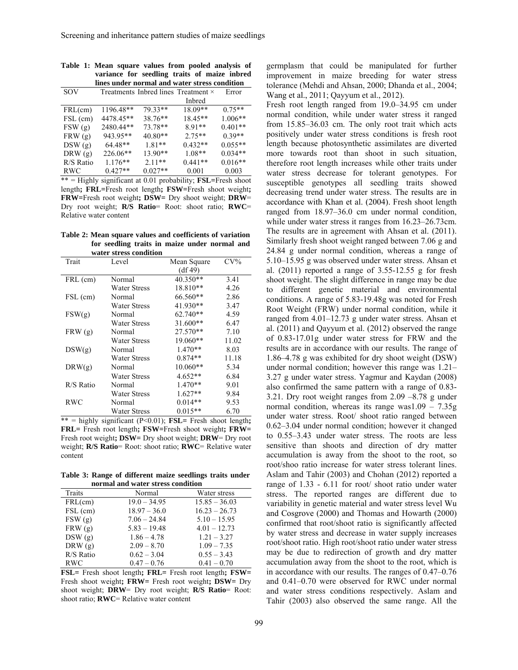| lines under normal and water stress condition |           |                                            |           |           |
|-----------------------------------------------|-----------|--------------------------------------------|-----------|-----------|
| <b>SOV</b>                                    |           | Treatments Inbred lines Treatment $\times$ |           | Error     |
|                                               |           |                                            | Inbred    |           |
| FRL(cm)                                       | 1196.48** | 79.33**                                    | 18.09**   | $0.75**$  |
| FSL (cm)                                      | 4478.45** | 38.76**                                    | $18.45**$ | $1.006**$ |
| FSW(g)                                        | 2480.44** | 73.78**                                    | $8.91**$  | $0.401**$ |
| FRW(g)                                        | 943.95**  | $40.80**$                                  | $2.75**$  | $0.39**$  |
| DSW(g)                                        | 64.48**   | $1.81**$                                   | $0.432**$ | $0.055**$ |
| DRW(g)                                        | 226.06**  | 13.90**                                    | $1.08**$  | $0.034**$ |
| R/S Ratio                                     | $1.176**$ | $2.11**$                                   | $0.441**$ | $0.016**$ |
| RWC                                           | $0.427**$ | $0.027**$                                  | 0.001     | 0.003     |

**Table 1: Mean square values from pooled analysis of variance for seedling traits of maize inbred** 

\*\* = Highly significant at 0.01 probability; **FSL=**Fresh shoot length**; FRL=**Fresh root length**; FSW=**Fresh shoot weight**; FRW=**Fresh root weight**; DSW=** Dry shoot weight; **DRW**= Dry root weight; **R/S Ratio**= Root: shoot ratio; **RWC**= Relative water content

**Table 2: Mean square values and coefficients of variation for seedling traits in maize under normal and water stress condition** 

| Trait      | Level               | Mean Square | $CV\%$ |
|------------|---------------------|-------------|--------|
|            |                     | (df49)      |        |
| FRL (cm)   | Normal              | 40.350**    | 3.41   |
|            | Water Stress        | 18.810**    | 4.26   |
| FSL (cm)   | Normal              | 66.560**    | 2.86   |
|            | <b>Water Stress</b> | 41.930**    | 3.47   |
| FSW(g)     | Normal              | 62.740**    | 4.59   |
|            | <b>Water Stress</b> | $31.600**$  | 6.47   |
| FRW(g)     | Normal              | 27.570**    | 7.10   |
|            | Water Stress        | 19.060**    | 11.02  |
| DSW(g)     | Normal              | $1.470**$   | 8.03   |
|            | Water Stress        | $0.874**$   | 11.18  |
| DRW(g)     | Normal              | 10.060**    | 5.34   |
|            | <b>Water Stress</b> | 4.652**     | 6.84   |
| R/S Ratio  | Normal              | 1.470**     | 9.01   |
|            | <b>Water Stress</b> | 1.627**     | 9.84   |
| <b>RWC</b> | Normal              | $0.014**$   | 9.53   |
|            | <b>Water Stress</b> | $0.015**$   | 6.70   |

 $**$  = highly significant (P<0.01); **FSL**= Fresh shoot length; **FRL=** Fresh root length**; FSW=**Fresh shoot weight**; FRW=**  Fresh root weight**; DSW=** Dry shoot weight; **DRW**= Dry root weight; **R/S Ratio**= Root: shoot ratio; **RWC**= Relative water content

**Table 3: Range of different maize seedlings traits under normal and water stress condition** 

| Traits     | Normal         | Water stress    |  |  |  |
|------------|----------------|-----------------|--|--|--|
| FRL(cm)    | $19.0 - 34.95$ | $15.85 - 36.03$ |  |  |  |
| FSL (cm)   | $18.97 - 36.0$ | $16.23 - 26.73$ |  |  |  |
| FSW(g)     | $7.06 - 24.84$ | $5.10 - 15.95$  |  |  |  |
| FRW(g)     | $5.83 - 19.48$ | $4.01 - 12.73$  |  |  |  |
| DSW(g)     | $1.86 - 4.78$  | $1.21 - 3.27$   |  |  |  |
| DRW(g)     | $2.09 - 8.70$  | $1.09 - 7.35$   |  |  |  |
| R/S Ratio  | $0.62 - 3.04$  | $0.55 - 3.43$   |  |  |  |
| <b>RWC</b> | $0.47 - 0.76$  | $0.41 - 0.70$   |  |  |  |

**FSL=** Fresh shoot length**; FRL=** Fresh root length**; FSW=**  Fresh shoot weight**; FRW=** Fresh root weight**; DSW=** Dry shoot weight; **DRW**= Dry root weight; **R/S Ratio**= Root: shoot ratio; **RWC**= Relative water content

germplasm that could be manipulated for further improvement in maize breeding for water stress tolerance (Mehdi and Ahsan, 2000; Dhanda et al., 2004; Wang et al., 2011; Qayyum et al., 2012).

Fresh root length ranged from 19.0–34.95 cm under normal condition, while under water stress it ranged from 15.85–36.03 cm. The only root trait which acts positively under water stress conditions is fresh root length because photosynthetic assimilates are diverted more towards root than shoot in such situation, therefore root length increases while other traits under water stress decrease for tolerant genotypes. For susceptible genotypes all seedling traits showed decreasing trend under water stress. The results are in accordance with Khan et al. (2004). Fresh shoot length ranged from 18.97–36.0 cm under normal condition, while under water stress it ranges from 16.23–26.73cm. The results are in agreement with Ahsan et al. (2011). Similarly fresh shoot weight ranged between 7.06 g and 24.84 g under normal condition, whereas a range of 5.10–15.95 g was observed under water stress. Ahsan et al. (2011) reported a range of 3.55-12.55 g for fresh shoot weight. The slight difference in range may be due to different genetic material and environmental conditions. A range of 5.83-19.48g was noted for Fresh Root Weight (FRW) under normal condition, while it ranged from 4.01–12.73 g under water stress. Ahsan et al. (2011) and Qayyum et al. (2012) observed the range of 0.83-17.01g under water stress for FRW and the results are in accordance with our results. The range of 1.86–4.78 g was exhibited for dry shoot weight (DSW) under normal condition; however this range was 1.21– 3.27 g under water stress. Yagmur and Kaydan (2008) also confirmed the same pattern with a range of 0.83- 3.21. Dry root weight ranges from 2.09 –8.78 g under normal condition, whereas its range was $1.09 - 7.35g$ under water stress. Root/ shoot ratio ranged between 0.62–3.04 under normal condition; however it changed to 0.55–3.43 under water stress. The roots are less sensitive than shoots and direction of dry matter accumulation is away from the shoot to the root, so root/shoo ratio increase for water stress tolerant lines. Aslam and Tahir (2003) and Chohan (2012) reported a range of 1.33 - 6.11 for root/ shoot ratio under water stress. The reported ranges are different due to variability in genetic material and water stress level Wu and Cosgrove (2000) and Thomas and Howarth (2000) confirmed that root/shoot ratio is significantly affected by water stress and decrease in water supply increases root/shoot ratio. High root/shoot ratio under water stress may be due to redirection of growth and dry matter accumulation away from the shoot to the root, which is in accordance with our results. The ranges of 0.47–0.76 and 0.41–0.70 were observed for RWC under normal and water stress conditions respectively. Aslam and Tahir (2003) also observed the same range. All the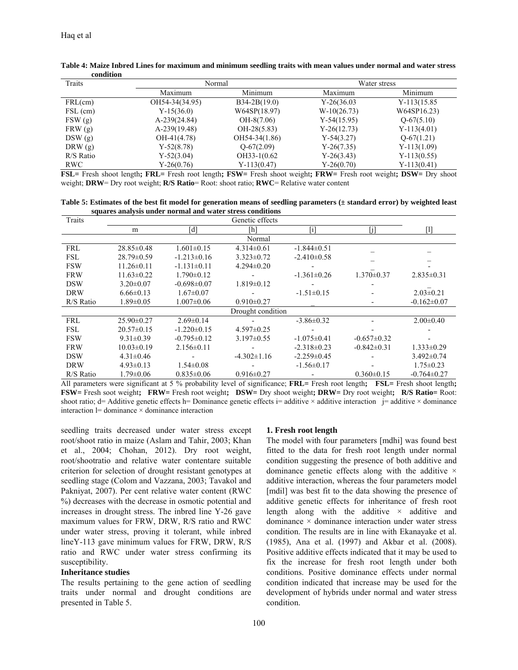| Traits     | Normal         |                | Water stress    |                |
|------------|----------------|----------------|-----------------|----------------|
|            | Maximum        | Minimum        | Maximum         | Minimum        |
| FRL(cm)    | OH54-34(34.95) | $B34-2B(19.0)$ | $Y - 26(36.03)$ | $Y-113(15.85)$ |
| $FSL$ (cm) | $Y-15(36.0)$   | W64SP(18.97)   | $W-10(26.73)$   | W64SP16.23)    |
| FSW(g)     | $A-239(24.84)$ | $OH-8(7.06)$   | $Y-54(15.95)$   | $O-67(5.10)$   |
| FRW(g)     | $A-239(19.48)$ | $OH-28(5.83)$  | $Y-26(12.73)$   | $Y-113(4.01)$  |
| DSW(g)     | $OH-41(4.78)$  | OH54-34(1.86)  | $Y-54(3.27)$    | $Q-67(1.21)$   |
| DRW(g)     | $Y-52(8.78)$   | $O-67(2.09)$   | $Y-26(7.35)$    | $Y-113(1.09)$  |
| R/S Ratio  | $Y-52(3.04)$   | OH33-1(0.62    | $Y-26(3.43)$    | $Y-113(0.55)$  |
| <b>RWC</b> | $Y-26(0.76)$   | $Y-113(0.47)$  | $Y-26(0.70)$    | $Y-113(0.41)$  |

**Table 4: Maize Inbred Lines for maximum and minimum seedling traits with mean values under normal and water stress condition** 

**FSL=** Fresh shoot length**; FRL=** Fresh root length**; FSW=** Fresh shoot weight**; FRW=** Fresh root weight**; DSW=** Dry shoot weight; **DRW**= Dry root weight; **R/S Ratio**= Root: shoot ratio; **RWC**= Relative water content

**Table 5: Estimates of the best fit model for generation means of seedling parameters (± standard error) by weighted least squares analysis under normal and water stress conditions** 

| Traits      |                  |                   | Genetic effects   |                   |                   |                   |
|-------------|------------------|-------------------|-------------------|-------------------|-------------------|-------------------|
|             | m                | [d]               | [h]               | ĪΪ                | [j]               | [1]               |
|             |                  |                   | Normal            |                   |                   |                   |
| <b>FRL</b>  | $28.85 \pm 0.48$ | $1.601 \pm 0.15$  | $4.314\pm0.61$    | $-1.844\pm0.51$   |                   |                   |
| <b>FSL</b>  | $28.79 \pm 0.59$ | $-1.213\pm0.16$   | $3.323 \pm 0.72$  | $-2.410\pm0.58$   |                   |                   |
| <b>FSW</b>  | $11.26 \pm 0.11$ | $-1.131\pm0.11$   | $4.294\pm0.20$    |                   |                   |                   |
| <b>FRW</b>  | $11.63 \pm 0.22$ | $1.790 \pm 0.12$  |                   | $-1.361 \pm 0.26$ | $1.370 \pm 0.37$  | $2.835 \pm 0.31$  |
| <b>DSW</b>  | $3.20 \pm 0.07$  | $-0.698 \pm 0.07$ | $1.819 \pm 0.12$  |                   |                   |                   |
| <b>DRW</b>  | $6.66 \pm 0.13$  | $1.67 \pm 0.07$   |                   | $-1.51\pm0.15$    |                   | $2.03 \pm 0.21$   |
| $R/S$ Ratio | $1.89 \pm 0.05$  | $1.007 \pm 0.06$  | $0.910 \pm 0.27$  |                   |                   | $-0.162 \pm 0.07$ |
|             |                  |                   | Drought condition |                   |                   |                   |
| <b>FRL</b>  | $25.90 \pm 0.27$ | $2.69 \pm 0.14$   |                   | $-3.86\pm0.32$    |                   | $2.00\pm0.40$     |
| <b>FSL</b>  | $20.57 \pm 0.15$ | $-1.220 \pm 0.15$ | $4.597 \pm 0.25$  |                   |                   |                   |
| <b>FSW</b>  | $9.31 \pm 0.39$  | $-0.795 \pm 0.12$ | $3.197 \pm 0.55$  | $-1.075 \pm 0.41$ | $-0.657 \pm 0.32$ |                   |
| <b>FRW</b>  | $10.03 \pm 0.19$ | $2.156 \pm 0.11$  |                   | $-2.318\pm0.23$   | $-0.842 \pm 0.31$ | $1.333 \pm 0.29$  |
| <b>DSW</b>  | $4.31 \pm 0.46$  |                   | $-4.302\pm1.16$   | $-2.259 \pm 0.45$ |                   | $3.492 \pm 0.74$  |
| <b>DRW</b>  | $4.93 \pm 0.13$  | $1.54 \pm 0.08$   |                   | $-1.56\pm0.17$    |                   | $1.75 \pm 0.23$   |
| R/S Ratio   | $1.79 \pm 0.06$  | $0.835 \pm 0.06$  | $0.916 \pm 0.27$  |                   | $0.360 \pm 0.15$  | $-0.764 \pm 0.27$ |

All parameters were significant at 5 % probability level of significance; **FRL=** Fresh root length**; FSL=** Fresh shoot length**; FSW=** Fresh soot weight**; FRW=** Fresh root weight**; DSW=** Dry shoot weight**; DRW=** Dry root weight**; R/S Ratio=** Root: shoot ratio; d= Additive genetic effects h= Dominance genetic effects i= additive × additive interaction j= additive × dominance interaction  $l =$  dominance  $\times$  dominance interaction

seedling traits decreased under water stress except root/shoot ratio in maize (Aslam and Tahir, 2003; Khan et al., 2004; Chohan, 2012). Dry root weight, root/shootratio and relative water contentare suitable criterion for selection of drought resistant genotypes at seedling stage (Colom and Vazzana, 2003; Tavakol and Pakniyat, 2007). Per cent relative water content (RWC %) decreases with the decrease in osmotic potential and increases in drought stress. The inbred line Y-26 gave maximum values for FRW, DRW, R/S ratio and RWC under water stress, proving it tolerant, while inbred lineY-113 gave minimum values for FRW, DRW, R/S ratio and RWC under water stress confirming its susceptibility.

#### **Inheritance studies**

The results pertaining to the gene action of seedling traits under normal and drought conditions are presented in Table 5.

#### **1. Fresh root length**

The model with four parameters [mdhi] was found best fitted to the data for fresh root length under normal condition suggesting the presence of both additive and dominance genetic effects along with the additive  $\times$ additive interaction, whereas the four parameters model [mdil] was best fit to the data showing the presence of additive genetic effects for inheritance of fresh root length along with the additive  $\times$  additive and  $dominance \times dominance$  interaction under water stress condition. The results are in line with Ekanayake et al. (1985), Ana et al. (1997) and Akbar et al. (2008). Positive additive effects indicated that it may be used to fix the increase for fresh root length under both conditions. Positive dominance effects under normal condition indicated that increase may be used for the development of hybrids under normal and water stress condition.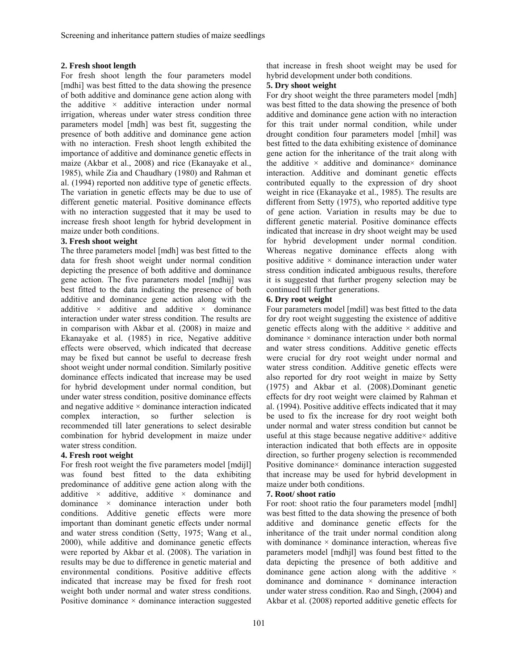### **2. Fresh shoot length**

For fresh shoot length the four parameters model [mdhi] was best fitted to the data showing the presence of both additive and dominance gene action along with the additive  $\times$  additive interaction under normal irrigation, whereas under water stress condition three parameters model [mdh] was best fit, suggesting the presence of both additive and dominance gene action with no interaction. Fresh shoot length exhibited the importance of additive and dominance genetic effects in maize (Akbar et al., 2008) and rice (Ekanayake et al., 1985), while Zia and Chaudhary (1980) and Rahman et al. (1994) reported non additive type of genetic effects. The variation in genetic effects may be due to use of different genetic material. Positive dominance effects with no interaction suggested that it may be used to increase fresh shoot length for hybrid development in maize under both conditions.

#### **3. Fresh shoot weight**

The three parameters model [mdh] was best fitted to the data for fresh shoot weight under normal condition depicting the presence of both additive and dominance gene action. The five parameters model [mdhij] was best fitted to the data indicating the presence of both additive and dominance gene action along with the additive  $\times$  additive and additive  $\times$  dominance interaction under water stress condition. The results are in comparison with Akbar et al. (2008) in maize and Ekanayake et al. (1985) in rice, Negative additive effects were observed, which indicated that decrease may be fixed but cannot be useful to decrease fresh shoot weight under normal condition. Similarly positive dominance effects indicated that increase may be used for hybrid development under normal condition, but under water stress condition, positive dominance effects and negative additive  $\times$  dominance interaction indicated complex interaction, so further selection is recommended till later generations to select desirable combination for hybrid development in maize under water stress condition.

# **4. Fresh root weight**

For fresh root weight the five parameters model [mdijl] was found best fitted to the data exhibiting predominance of additive gene action along with the additive  $\times$  additive, additive  $\times$  dominance and  $dominance \times dominance$  interaction under both conditions. Additive genetic effects were more important than dominant genetic effects under normal and water stress condition (Setty, 1975; Wang et al., 2000), while additive and dominance genetic effects were reported by Akbar et al. (2008). The variation in results may be due to difference in genetic material and environmental conditions. Positive additive effects indicated that increase may be fixed for fresh root weight both under normal and water stress conditions. Positive dominance  $\times$  dominance interaction suggested

that increase in fresh shoot weight may be used for hybrid development under both conditions.

#### **5. Dry shoot weight**

For dry shoot weight the three parameters model [mdh] was best fitted to the data showing the presence of both additive and dominance gene action with no interaction for this trait under normal condition, while under drought condition four parameters model [mhil] was best fitted to the data exhibiting existence of dominance gene action for the inheritance of the trait along with the additive  $\times$  additive and dominance dominance interaction. Additive and dominant genetic effects contributed equally to the expression of dry shoot weight in rice (Ekanayake et al., 1985). The results are different from Setty (1975), who reported additive type of gene action. Variation in results may be due to different genetic material. Positive dominance effects indicated that increase in dry shoot weight may be used for hybrid development under normal condition. Whereas negative dominance effects along with positive additive × dominance interaction under water stress condition indicated ambiguous results, therefore it is suggested that further progeny selection may be continued till further generations.

#### **6. Dry root weight**

Four parameters model [mdil] was best fitted to the data for dry root weight suggesting the existence of additive genetic effects along with the additive  $\times$  additive and dominance × dominance interaction under both normal and water stress conditions. Additive genetic effects were crucial for dry root weight under normal and water stress condition. Additive genetic effects were also reported for dry root weight in maize by Setty (1975) and Akbar et al. (2008).Dominant genetic effects for dry root weight were claimed by Rahman et al. (1994). Positive additive effects indicated that it may be used to fix the increase for dry root weight both under normal and water stress condition but cannot be useful at this stage because negative additive $\times$  additive interaction indicated that both effects are in opposite direction, so further progeny selection is recommended Positive dominance× dominance interaction suggested that increase may be used for hybrid development in maize under both conditions.

# **7. Root/ shoot ratio**

For root: shoot ratio the four parameters model [mdhl] was best fitted to the data showing the presence of both additive and dominance genetic effects for the inheritance of the trait under normal condition along with dominance  $\times$  dominance interaction, whereas five parameters model [mdhjl] was found best fitted to the data depicting the presence of both additive and dominance gene action along with the additive  $\times$ dominance and dominance  $\times$  dominance interaction under water stress condition. Rao and Singh, (2004) and Akbar et al. (2008) reported additive genetic effects for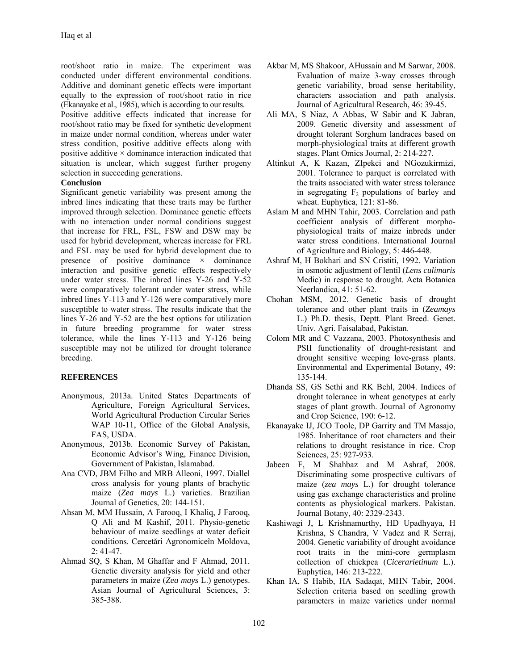root/shoot ratio in maize. The experiment was conducted under different environmental conditions. Additive and dominant genetic effects were important equally to the expression of root/shoot ratio in rice (Ekanayake et al., 1985), which is according to our results.

Positive additive effects indicated that increase for root/shoot ratio may be fixed for synthetic development in maize under normal condition, whereas under water stress condition, positive additive effects along with positive additive × dominance interaction indicated that situation is unclear, which suggest further progeny selection in succeeding generations.

#### **Conclusion**

Significant genetic variability was present among the inbred lines indicating that these traits may be further improved through selection. Dominance genetic effects with no interaction under normal conditions suggest that increase for FRL, FSL, FSW and DSW may be used for hybrid development, whereas increase for FRL and FSL may be used for hybrid development due to presence of positive dominance × dominance interaction and positive genetic effects respectively under water stress. The inbred lines Y-26 and Y-52 were comparatively tolerant under water stress, while inbred lines Y-113 and Y-126 were comparatively more susceptible to water stress. The results indicate that the lines Y-26 and Y-52 are the best options for utilization in future breeding programme for water stress tolerance, while the lines Y-113 and Y-126 being susceptible may not be utilized for drought tolerance breeding.

# **REFERENCES**

- Anonymous, 2013a. United States Departments of Agriculture, Foreign Agricultural Services, World Agricultural Production Circular Series WAP 10-11, Office of the Global Analysis, FAS, USDA.
- Anonymous, 2013b. Economic Survey of Pakistan, Economic Advisor's Wing, Finance Division, Government of Pakistan, Islamabad.
- Ana CVD, JBM Filho and MRB Alleoni, 1997. Diallel cross analysis for young plants of brachytic maize (*Zea mays* L.) varieties. Brazilian Journal of Genetics, 20: 144-151.
- Ahsan M, MM Hussain, A Farooq, I Khaliq, J Farooq, Q Ali and M Kashif, 2011. Physio-genetic behaviour of maize seedlings at water deficit conditions. Cercetări Agronomiceîn Moldova,  $2: 41-47$ .
- Ahmad SQ, S Khan, M Ghaffar and F Ahmad, 2011. Genetic diversity analysis for yield and other parameters in maize (*Zea mays* L.) genotypes. Asian Journal of Agricultural Sciences, 3: 385-388.
- Akbar M, MS Shakoor, AHussain and M Sarwar, 2008. Evaluation of maize 3-way crosses through genetic variability, broad sense heritability, characters association and path analysis. Journal of Agricultural Research, 46: 39-45.
- Ali MA, S Niaz, A Abbas, W Sabir and K Jabran, 2009. Genetic diversity and assessment of drought tolerant Sorghum landraces based on morph-physiological traits at different growth stages. Plant Omics Journal, 2: 214-227.
- Altinkut A, K Kazan, ZIpekci and NGozukirmizi, 2001. Tolerance to parquet is correlated with the traits associated with water stress tolerance in segregating  $F_2$  populations of barley and wheat. Euphytica, 121: 81-86.
- Aslam M and MHN Tahir, 2003. Correlation and path coefficient analysis of different morphophysiological traits of maize inbreds under water stress conditions. International Journal of Agriculture and Biology, 5: 446-448.
- Ashraf M, H Bokhari and SN Cristiti, 1992. Variation in osmotic adjustment of lentil (*Lens culimaris* Medic) in response to drought. Acta Botanica Neerlandica, 41: 51-62.
- Chohan MSM, 2012. Genetic basis of drought tolerance and other plant traits in (*Zeamays* L.) Ph.D. thesis, Deptt. Plant Breed. Genet. Univ. Agri. Faisalabad, Pakistan.
- Colom MR and C Vazzana, 2003. Photosynthesis and PSII functionality of drought-resistant and drought sensitive weeping love-grass plants. Environmental and Experimental Botany*,* 49: 135-144.
- Dhanda SS, GS Sethi and RK Behl, 2004. Indices of drought tolerance in wheat genotypes at early stages of plant growth. Journal of Agronomy and Crop Science, 190: 6-12.
- Ekanayake IJ, JCO Toole, DP Garrity and TM Masajo, 1985. Inheritance of root characters and their relations to drought resistance in rice. Crop Sciences, 25: 927-933.
- Jabeen F, M Shahbaz and M Ashraf, 2008. Discriminating some prospective cultivars of maize (*zea mays* L.) for drought tolerance using gas exchange characteristics and proline contents as physiological markers. Pakistan. Journal Botany, 40: 2329-2343.
- Kashiwagi J, L Krishnamurthy, HD Upadhyaya, H Krishna, S Chandra, V Vadez and R Serraj, 2004. Genetic variability of drought avoidance root traits in the mini-core germplasm collection of chickpea (*Cicerarietinum* L.). Euphytica, 146: 213-222.
- Khan IA, S Habib, HA Sadaqat, MHN Tabir, 2004. Selection criteria based on seedling growth parameters in maize varieties under normal